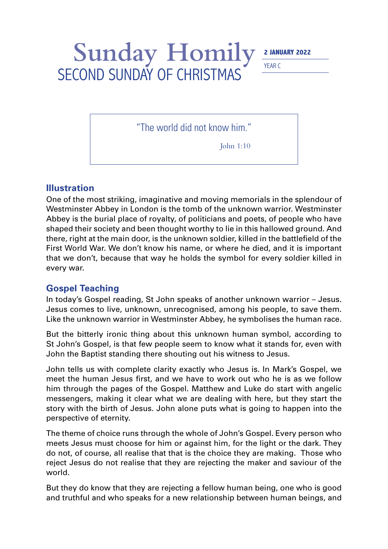## Sunday Homily<sup>2 JANUARY 2022</sup> SECOND SUNDAY OF CHRISTMAS

YEAR C

"The world did not know him."

John 1:10

## **Illustration**

One of the most striking, imaginative and moving memorials in the splendour of Westminster Abbey in London is the tomb of the unknown warrior. Westminster Abbey is the burial place of royalty, of politicians and poets, of people who have shaped their society and been thought worthy to lie in this hallowed ground. And there, right at the main door, is the unknown soldier, killed in the battlefield of the First World War. We don't know his name, or where he died, and it is important that we don't, because that way he holds the symbol for every soldier killed in every war.

## **Gospel Teaching**

In today's Gospel reading, St John speaks of another unknown warrior – Jesus. Jesus comes to live, unknown, unrecognised, among his people, to save them. Like the unknown warrior in Westminster Abbey, he symbolises the human race.

But the bitterly ironic thing about this unknown human symbol, according to St John's Gospel, is that few people seem to know what it stands for, even with John the Baptist standing there shouting out his witness to Jesus.

John tells us with complete clarity exactly who Jesus is. In Mark's Gospel, we meet the human Jesus first, and we have to work out who he is as we follow him through the pages of the Gospel. Matthew and Luke do start with angelic messengers, making it clear what we are dealing with here, but they start the story with the birth of Jesus. John alone puts what is going to happen into the perspective of eternity.

The theme of choice runs through the whole of John's Gospel. Every person who meets Jesus must choose for him or against him, for the light or the dark. They do not, of course, all realise that that is the choice they are making. Those who reject Jesus do not realise that they are rejecting the maker and saviour of the world.

But they do know that they are rejecting a fellow human being, one who is good and truthful and who speaks for a new relationship between human beings, and